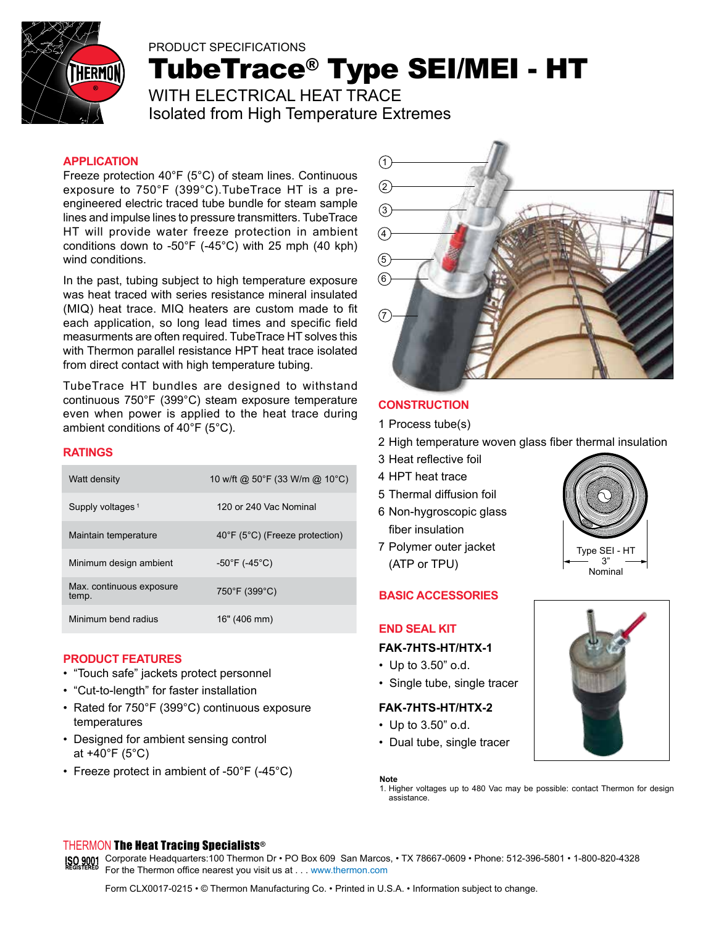

# PRODUCT SPECIFICATIONS TubeTrace® Type SEI/MEI - HT WITH ELECTRICAL HEAT TRACE

Isolated from High Temperature Extremes

#### **APPLICATION**

Freeze protection 40°F (5°C) of steam lines. Continuous exposure to 750°F (399°C).TubeTrace HT is a preengineered electric traced tube bundle for steam sample lines and impulse lines to pressure transmitters. TubeTrace HT will provide water freeze protection in ambient conditions down to -50°F (-45°C) with 25 mph (40 kph) wind conditions.

In the past, tubing subject to high temperature exposure was heat traced with series resistance mineral insulated (MIQ) heat trace. MIQ heaters are custom made to fit each application, so long lead times and specific field measurments are often required. TubeTrace HT solves this with Thermon parallel resistance HPT heat trace isolated from direct contact with high temperature tubing.

TubeTrace HT bundles are designed to withstand continuous 750°F (399°C) steam exposure temperature even when power is applied to the heat trace during ambient conditions of 40°F (5°C).

### **RATINGS**

| Watt density                      | 10 w/ft @ 50°F (33 W/m @ 10°C)     |
|-----------------------------------|------------------------------------|
| Supply voltages <sup>1</sup>      | 120 or 240 Vac Nominal             |
| Maintain temperature              | 40°F (5°C) (Freeze protection)     |
| Minimum design ambient            | $-50^{\circ}$ F (-45 $^{\circ}$ C) |
| Max. continuous exposure<br>temp. | 750°F (399°C)                      |
| Minimum bend radius               | 16" (406 mm)                       |

#### **PRODUCT FEATURES**

- • "Touch safe" jackets protect personnel
- "Cut-to-length" for faster installation
- Rated for 750°F (399°C) continuous exposure temperatures
- Designed for ambient sensing control at +40°F (5°C)
- Freeze protect in ambient of  $-50^{\circ}F$  (-45 $^{\circ}C$ )



#### **CONSTRUCTION**

- 1 Process tube(s)
- 2 High temperature woven glass fiber thermal insulation
- 3 Heat reflective foil
- 4 HPT heat trace
- 5 Thermal diffusion foil
- 6 Non-hygroscopic glass fiber insulation
- 7 Polymer outer jacket (ATP or TPU)

### **BASIC ACCESSORIES**

#### **END SEAL KIT**

#### **FAK-7HTS-HT/HTX-1**

- Up to 3.50" o.d.
- Single tube, single tracer

#### **FAK-7HTS-HT/HTX-2**

- Up to 3.50" o.d.
- Dual tube, single tracer

**Note**





### THERMON The Heat Tracing Specialists®

SO 9001 Corporate Headquarters:100 Thermon Dr • PO Box 609 San Marcos, • TX 78667-0609 • Phone: 512-396-5801 • 1-800-820-4328 For the Thermon office nearest you visit us at . . . www.thermon.com

<sup>1.</sup> Higher voltages up to 480 Vac may be possible: contact Thermon for design assistance.